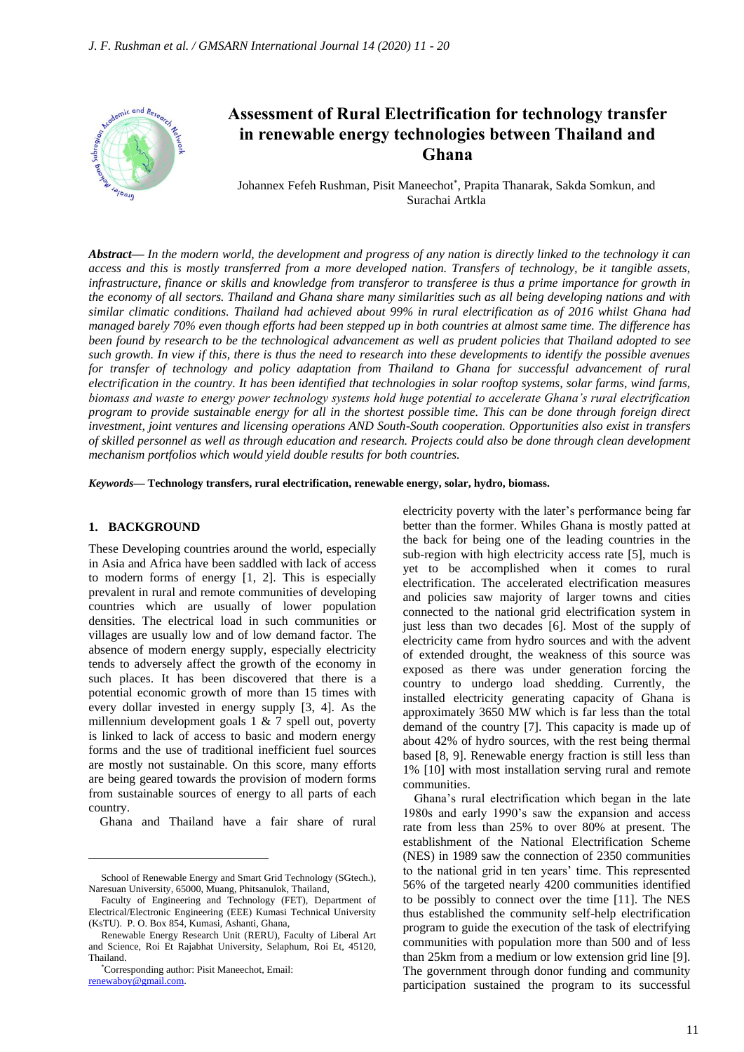

# **Assessment of Rural Electrification for technology transfer in renewable energy technologies between Thailand and Ghana**

Johannex Fefeh Rushman, Pisit Maneechot\* , Prapita Thanarak, Sakda Somkun, and Surachai Artkla

*Abstract***—** *In the modern world, the development and progress of any nation is directly linked to the technology it can access and this is mostly transferred from a more developed nation. Transfers of technology, be it tangible assets, infrastructure, finance or skills and knowledge from transferor to transferee is thus a prime importance for growth in the economy of all sectors. Thailand and Ghana share many similarities such as all being developing nations and with similar climatic conditions. Thailand had achieved about 99% in rural electrification as of 2016 whilst Ghana had managed barely 70% even though efforts had been stepped up in both countries at almost same time. The difference has been found by research to be the technological advancement as well as prudent policies that Thailand adopted to see such growth. In view if this, there is thus the need to research into these developments to identify the possible avenues*  for transfer of technology and policy adaptation from Thailand to Ghana for successful advancement of rural *electrification in the country. It has been identified that technologies in solar rooftop systems, solar farms, wind farms, biomass and waste to energy power technology systems hold huge potential to accelerate Ghana's rural electrification program to provide sustainable energy for all in the shortest possible time. This can be done through foreign direct investment, joint ventures and licensing operations AND South-South cooperation. Opportunities also exist in transfers of skilled personnel as well as through education and research. Projects could also be done through clean development mechanism portfolios which would yield double results for both countries.*

*Keywords***— Technology transfers, rural electrification, renewable energy, solar, hydro, biomass.**

## **1. BACKGROUND**

These Developing countries around the world, especially in Asia and Africa have been saddled with lack of access to modern forms of energy [1, 2]. This is especially prevalent in rural and remote communities of developing countries which are usually of lower population densities. The electrical load in such communities or villages are usually low and of low demand factor. The absence of modern energy supply, especially electricity tends to adversely affect the growth of the economy in such places. It has been discovered that there is a potential economic growth of more than 15 times with every dollar invested in energy supply [3, 4]. As the millennium development goals 1 & 7 spell out, poverty is linked to lack of access to basic and modern energy forms and the use of traditional inefficient fuel sources are mostly not sustainable. On this score, many efforts are being geared towards the provision of modern forms from sustainable sources of energy to all parts of each country.

Ghana and Thailand have a fair share of rural

electricity poverty with the later's performance being far better than the former. Whiles Ghana is mostly patted at the back for being one of the leading countries in the sub-region with high electricity access rate [5], much is yet to be accomplished when it comes to rural electrification. The accelerated electrification measures and policies saw majority of larger towns and cities connected to the national grid electrification system in just less than two decades [6]. Most of the supply of electricity came from hydro sources and with the advent of extended drought, the weakness of this source was exposed as there was under generation forcing the country to undergo load shedding. Currently, the installed electricity generating capacity of Ghana is approximately 3650 MW which is far less than the total demand of the country [7]. This capacity is made up of about 42% of hydro sources, with the rest being thermal based [8, 9]. Renewable energy fraction is still less than 1% [10] with most installation serving rural and remote communities.

Ghana's rural electrification which began in the late 1980s and early 1990's saw the expansion and access rate from less than 25% to over 80% at present. The establishment of the National Electrification Scheme (NES) in 1989 saw the connection of 2350 communities to the national grid in ten years' time. This represented 56% of the targeted nearly 4200 communities identified to be possibly to connect over the time [11]. The NES thus established the community self-help electrification program to guide the execution of the task of electrifying communities with population more than 500 and of less than 25km from a medium or low extension grid line [9]. The government through donor funding and community participation sustained the program to its successful

School of Renewable Energy and Smart Grid Technology (SGtech.), Naresuan University, 65000, Muang, Phitsanulok, Thailand,

Faculty of Engineering and Technology (FET), Department of Electrical/Electronic Engineering (EEE) Kumasi Technical University (KsTU). P. O. Box 854, Kumasi, Ashanti, Ghana,

Renewable Energy Research Unit (RERU), Faculty of Liberal Art and Science, Roi Et Rajabhat University, Selaphum, Roi Et, 45120, Thailand.

<sup>\*</sup>Corresponding author: Pisit Maneechot, Email: [renewaboy@gmail.com.](mailto:renewaboy@gmail.com)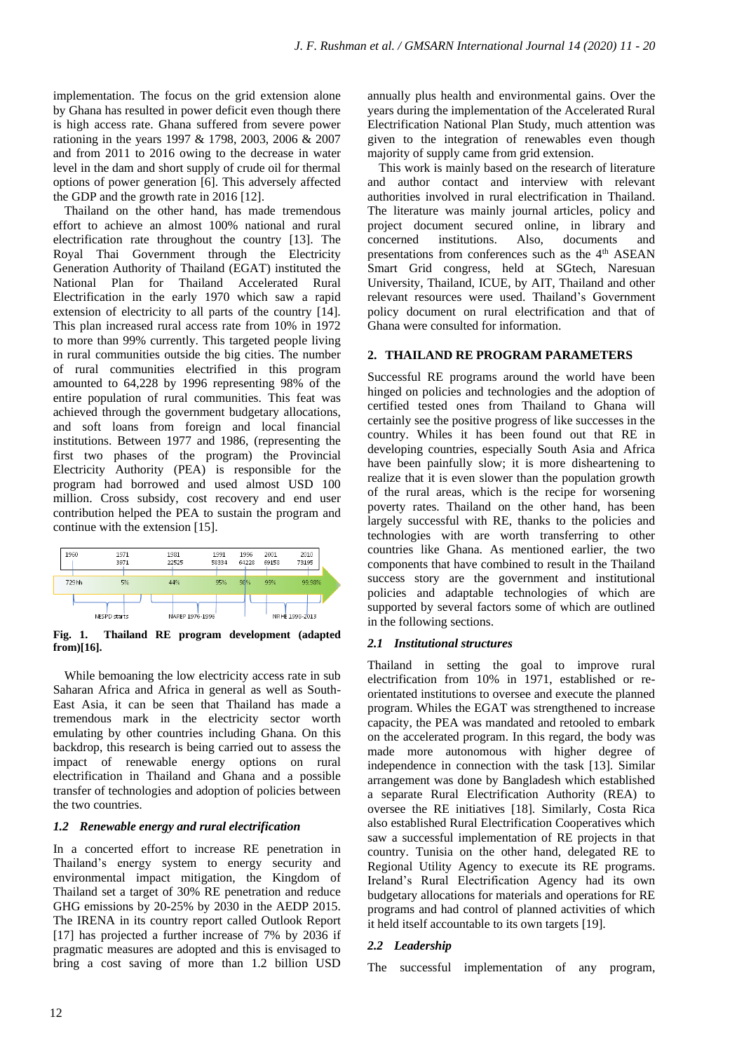implementation. The focus on the grid extension alone by Ghana has resulted in power deficit even though there is high access rate. Ghana suffered from severe power rationing in the years 1997 & 1798, 2003, 2006 & 2007 and from 2011 to 2016 owing to the decrease in water level in the dam and short supply of crude oil for thermal options of power generation [6]. This adversely affected the GDP and the growth rate in 2016 [12].

Thailand on the other hand, has made tremendous effort to achieve an almost 100% national and rural electrification rate throughout the country [13]. The Royal Thai Government through the Electricity Generation Authority of Thailand (EGAT) instituted the National Plan for Thailand Accelerated Rural Electrification in the early 1970 which saw a rapid extension of electricity to all parts of the country [14]. This plan increased rural access rate from 10% in 1972 to more than 99% currently. This targeted people living in rural communities outside the big cities. The number of rural communities electrified in this program amounted to 64,228 by 1996 representing 98% of the entire population of rural communities. This feat was achieved through the government budgetary allocations, and soft loans from foreign and local financial institutions. Between 1977 and 1986, (representing the first two phases of the program) the Provincial Electricity Authority (PEA) is responsible for the program had borrowed and used almost USD 100 million. Cross subsidy, cost recovery and end user contribution helped the PEA to sustain the program and continue with the extension [15].



**Fig. 1. Thailand RE program development (adapted from)[16].**

While bemoaning the low electricity access rate in sub Saharan Africa and Africa in general as well as South-East Asia, it can be seen that Thailand has made a tremendous mark in the electricity sector worth emulating by other countries including Ghana. On this backdrop, this research is being carried out to assess the impact of renewable energy options on rural electrification in Thailand and Ghana and a possible transfer of technologies and adoption of policies between the two countries.

# *1.2 Renewable energy and rural electrification*

In a concerted effort to increase RE penetration in Thailand's energy system to energy security and environmental impact mitigation, the Kingdom of Thailand set a target of 30% RE penetration and reduce GHG emissions by 20-25% by 2030 in the AEDP 2015. The IRENA in its country report called Outlook Report [17] has projected a further increase of 7% by 2036 if pragmatic measures are adopted and this is envisaged to bring a cost saving of more than 1.2 billion USD

annually plus health and environmental gains. Over the years during the implementation of the Accelerated Rural Electrification National Plan Study, much attention was given to the integration of renewables even though majority of supply came from grid extension.

This work is mainly based on the research of literature and author contact and interview with relevant authorities involved in rural electrification in Thailand. The literature was mainly journal articles, policy and project document secured online, in library and concerned institutions. Also, documents and presentations from conferences such as the 4th ASEAN Smart Grid congress, held at SGtech, Naresuan University, Thailand, ICUE, by AIT, Thailand and other relevant resources were used. Thailand's Government policy document on rural electrification and that of Ghana were consulted for information.

# **2. THAILAND RE PROGRAM PARAMETERS**

Successful RE programs around the world have been hinged on policies and technologies and the adoption of certified tested ones from Thailand to Ghana will certainly see the positive progress of like successes in the country. Whiles it has been found out that RE in developing countries, especially South Asia and Africa have been painfully slow; it is more disheartening to realize that it is even slower than the population growth of the rural areas, which is the recipe for worsening poverty rates. Thailand on the other hand, has been largely successful with RE, thanks to the policies and technologies with are worth transferring to other countries like Ghana. As mentioned earlier, the two components that have combined to result in the Thailand success story are the government and institutional policies and adaptable technologies of which are supported by several factors some of which are outlined in the following sections.

# *2.1 Institutional structures*

Thailand in setting the goal to improve rural electrification from 10% in 1971, established or reorientated institutions to oversee and execute the planned program. Whiles the EGAT was strengthened to increase capacity, the PEA was mandated and retooled to embark on the accelerated program. In this regard, the body was made more autonomous with higher degree of independence in connection with the task [13]. Similar arrangement was done by Bangladesh which established a separate Rural Electrification Authority (REA) to oversee the RE initiatives [18]. Similarly, Costa Rica also established Rural Electrification Cooperatives which saw a successful implementation of RE projects in that country. Tunisia on the other hand, delegated RE to Regional Utility Agency to execute its RE programs. Ireland's Rural Electrification Agency had its own budgetary allocations for materials and operations for RE programs and had control of planned activities of which it held itself accountable to its own targets [19].

# *2.2 Leadership*

The successful implementation of any program,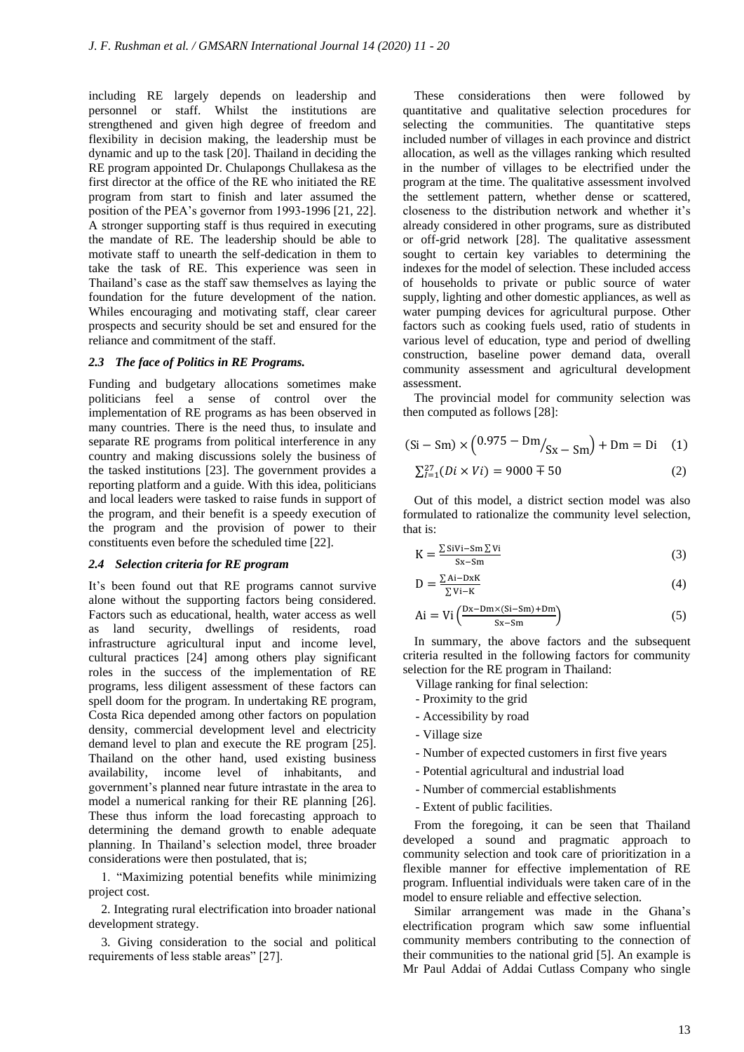including RE largely depends on leadership and personnel or staff. Whilst the institutions are strengthened and given high degree of freedom and flexibility in decision making, the leadership must be dynamic and up to the task [20]. Thailand in deciding the RE program appointed Dr. Chulapongs Chullakesa as the first director at the office of the RE who initiated the RE program from start to finish and later assumed the position of the PEA's governor from 1993-1996 [21, 22]. A stronger supporting staff is thus required in executing the mandate of RE. The leadership should be able to motivate staff to unearth the self-dedication in them to take the task of RE. This experience was seen in Thailand's case as the staff saw themselves as laying the foundation for the future development of the nation. Whiles encouraging and motivating staff, clear career prospects and security should be set and ensured for the reliance and commitment of the staff.

## *2.3 The face of Politics in RE Programs.*

Funding and budgetary allocations sometimes make politicians feel a sense of control over the implementation of RE programs as has been observed in many countries. There is the need thus, to insulate and separate RE programs from political interference in any country and making discussions solely the business of the tasked institutions [23]. The government provides a reporting platform and a guide. With this idea, politicians and local leaders were tasked to raise funds in support of the program, and their benefit is a speedy execution of the program and the provision of power to their constituents even before the scheduled time [22].

#### *2.4 Selection criteria for RE program*

It's been found out that RE programs cannot survive alone without the supporting factors being considered. Factors such as educational, health, water access as well as land security, dwellings of residents, road infrastructure agricultural input and income level, cultural practices [24] among others play significant roles in the success of the implementation of RE programs, less diligent assessment of these factors can spell doom for the program. In undertaking RE program, Costa Rica depended among other factors on population density, commercial development level and electricity demand level to plan and execute the RE program [25]. Thailand on the other hand, used existing business availability, income level of inhabitants, and government's planned near future intrastate in the area to model a numerical ranking for their RE planning [26]. These thus inform the load forecasting approach to determining the demand growth to enable adequate planning. In Thailand's selection model, three broader considerations were then postulated, that is;

1. "Maximizing potential benefits while minimizing project cost.

2. Integrating rural electrification into broader national development strategy.

3. Giving consideration to the social and political requirements of less stable areas" [27].

These considerations then were followed by quantitative and qualitative selection procedures for selecting the communities. The quantitative steps included number of villages in each province and district allocation, as well as the villages ranking which resulted in the number of villages to be electrified under the program at the time. The qualitative assessment involved the settlement pattern, whether dense or scattered, closeness to the distribution network and whether it's already considered in other programs, sure as distributed or off-grid network [28]. The qualitative assessment sought to certain key variables to determining the indexes for the model of selection. These included access of households to private or public source of water supply, lighting and other domestic appliances, as well as water pumping devices for agricultural purpose. Other factors such as cooking fuels used, ratio of students in various level of education, type and period of dwelling construction, baseline power demand data, overall community assessment and agricultural development assessment.

The provincial model for community selection was then computed as follows [28]:

$$
(Si - Sm) \times (0.975 - Dm/_{Sx} - Sm) + Dm = Di
$$
 (1)

$$
\sum_{i=1}^{27} (Di \times Vi) = 9000 \pm 50
$$
 (2)

Out of this model, a district section model was also formulated to rationalize the community level selection, that is:

$$
K = \frac{\sum \text{sivi} - \text{s}m\sum \text{vi}}{\text{s}x - \text{s}m}
$$
 (3)

$$
D = \frac{\sum Ai - DxK}{\sum Vi - K}
$$
 (4)

$$
Ai = Vi \left(\frac{Dx - Dmx(Si - Sm) + Dm}{Sx - Sm}\right)
$$
 (5)

In summary, the above factors and the subsequent criteria resulted in the following factors for community selection for the RE program in Thailand:

- Village ranking for final selection:
- Proximity to the grid
- Accessibility by road
- Village size
- Number of expected customers in first five years
- Potential agricultural and industrial load
- Number of commercial establishments
- Extent of public facilities.

From the foregoing, it can be seen that Thailand developed a sound and pragmatic approach to community selection and took care of prioritization in a flexible manner for effective implementation of RE program. Influential individuals were taken care of in the model to ensure reliable and effective selection.

Similar arrangement was made in the Ghana's electrification program which saw some influential community members contributing to the connection of their communities to the national grid [5]. An example is Mr Paul Addai of Addai Cutlass Company who single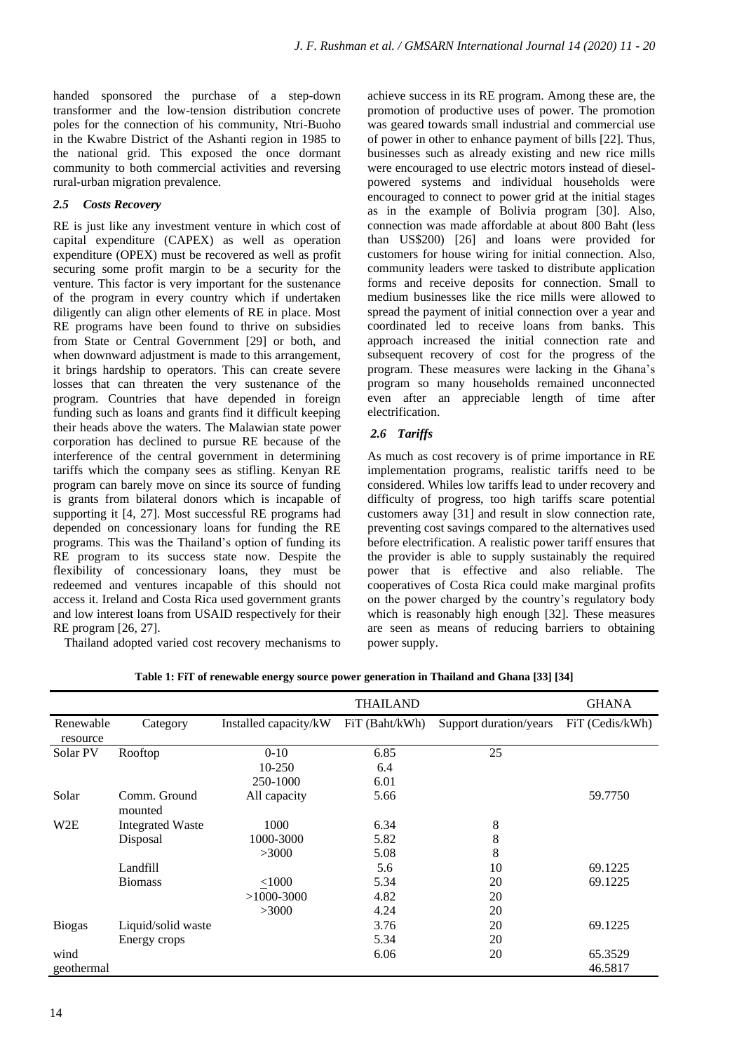handed sponsored the purchase of a step-down transformer and the low-tension distribution concrete poles for the connection of his community, Ntri-Buoho in the Kwabre District of the Ashanti region in 1985 to the national grid. This exposed the once dormant community to both commercial activities and reversing rural-urban migration prevalence.

# *2.5 Costs Recovery*

RE is just like any investment venture in which cost of capital expenditure (CAPEX) as well as operation expenditure (OPEX) must be recovered as well as profit securing some profit margin to be a security for the venture. This factor is very important for the sustenance of the program in every country which if undertaken diligently can align other elements of RE in place. Most RE programs have been found to thrive on subsidies from State or Central Government [29] or both, and when downward adjustment is made to this arrangement, it brings hardship to operators. This can create severe losses that can threaten the very sustenance of the program. Countries that have depended in foreign funding such as loans and grants find it difficult keeping their heads above the waters. The Malawian state power corporation has declined to pursue RE because of the interference of the central government in determining tariffs which the company sees as stifling. Kenyan RE program can barely move on since its source of funding is grants from bilateral donors which is incapable of supporting it [4, 27]. Most successful RE programs had depended on concessionary loans for funding the RE programs. This was the Thailand's option of funding its RE program to its success state now. Despite the flexibility of concessionary loans, they must be redeemed and ventures incapable of this should not access it. Ireland and Costa Rica used government grants and low interest loans from USAID respectively for their RE program [26, 27].

Thailand adopted varied cost recovery mechanisms to

achieve success in its RE program. Among these are, the promotion of productive uses of power. The promotion was geared towards small industrial and commercial use of power in other to enhance payment of bills [22]. Thus, businesses such as already existing and new rice mills were encouraged to use electric motors instead of dieselpowered systems and individual households were encouraged to connect to power grid at the initial stages as in the example of Bolivia program [30]. Also, connection was made affordable at about 800 Baht (less than US\$200) [26] and loans were provided for customers for house wiring for initial connection. Also, community leaders were tasked to distribute application forms and receive deposits for connection. Small to medium businesses like the rice mills were allowed to spread the payment of initial connection over a year and coordinated led to receive loans from banks. This approach increased the initial connection rate and subsequent recovery of cost for the progress of the program. These measures were lacking in the Ghana's program so many households remained unconnected even after an appreciable length of time after electrification.

# *2.6 Tariffs*

As much as cost recovery is of prime importance in RE implementation programs, realistic tariffs need to be considered. Whiles low tariffs lead to under recovery and difficulty of progress, too high tariffs scare potential customers away [31] and result in slow connection rate, preventing cost savings compared to the alternatives used before electrification. A realistic power tariff ensures that the provider is able to supply sustainably the required power that is effective and also reliable. The cooperatives of Costa Rica could make marginal profits on the power charged by the country's regulatory body which is reasonably high enough [32]. These measures are seen as means of reducing barriers to obtaining power supply.

|  | Table 1: FiT of renewable energy source power generation in Thailand and Ghana [33] [34] |  |  |  |  |  |
|--|------------------------------------------------------------------------------------------|--|--|--|--|--|
|  |                                                                                          |  |  |  |  |  |

|                       |                         |                       | <b>THAILAND</b> |                        | <b>GHANA</b>    |
|-----------------------|-------------------------|-----------------------|-----------------|------------------------|-----------------|
| Renewable<br>resource | Category                | Installed capacity/kW | FiT (Baht/kWh)  | Support duration/years | FiT (Cedis/kWh) |
| Solar PV              | Rooftop                 | $0 - 10$              | 6.85            | 25                     |                 |
|                       |                         | 10-250                | 6.4             |                        |                 |
|                       |                         | 250-1000              | 6.01            |                        |                 |
| Solar                 | Comm. Ground<br>mounted | All capacity          | 5.66            |                        | 59.7750         |
| W <sub>2</sub> E      | <b>Integrated Waste</b> | 1000                  | 6.34            | 8                      |                 |
|                       | Disposal                | 1000-3000             | 5.82            | 8                      |                 |
|                       |                         | >3000                 | 5.08            | 8                      |                 |
|                       | Landfill                |                       | 5.6             | 10                     | 69.1225         |
|                       | <b>Biomass</b>          | < 1000                | 5.34            | 20                     | 69.1225         |
|                       |                         | $>1000-3000$          | 4.82            | 20                     |                 |
|                       |                         | >3000                 | 4.24            | 20                     |                 |
| <b>Biogas</b>         | Liquid/solid waste      |                       | 3.76            | 20                     | 69.1225         |
|                       | Energy crops            |                       | 5.34            | 20                     |                 |
| wind                  |                         |                       | 6.06            | 20                     | 65.3529         |
| geothermal            |                         |                       |                 |                        | 46.5817         |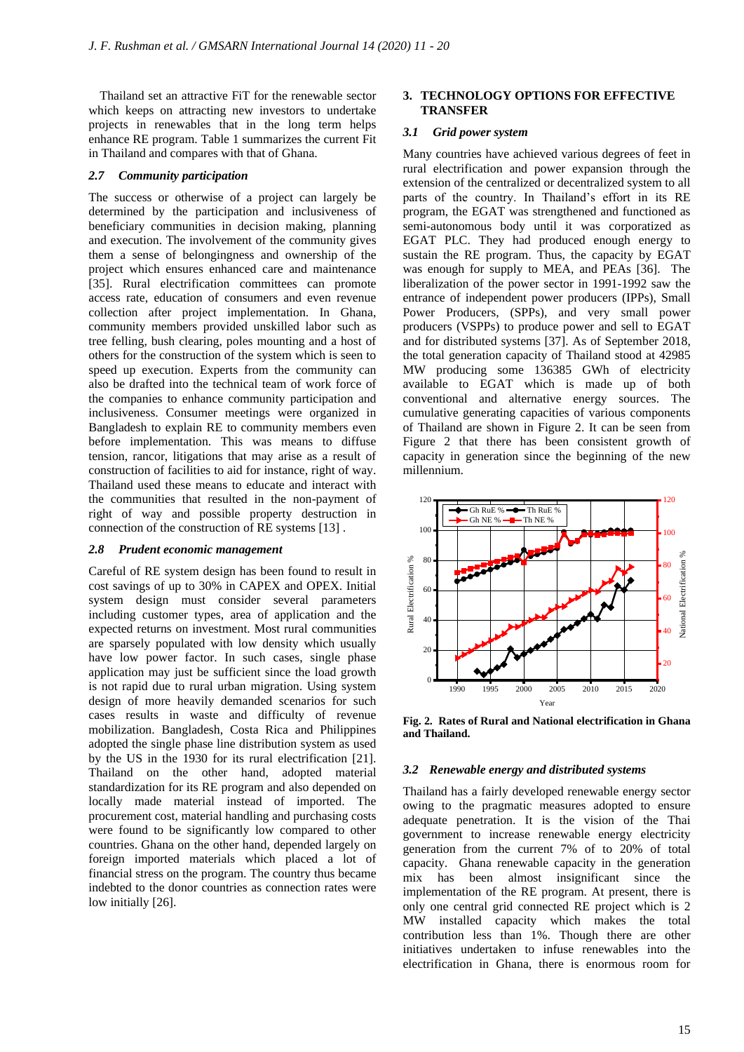Thailand set an attractive FiT for the renewable sector which keeps on attracting new investors to undertake projects in renewables that in the long term helps enhance RE program. Table 1 summarizes the current Fit in Thailand and compares with that of Ghana.

## *2.7 Community participation*

The success or otherwise of a project can largely be determined by the participation and inclusiveness of beneficiary communities in decision making, planning and execution. The involvement of the community gives them a sense of belongingness and ownership of the project which ensures enhanced care and maintenance [35]. Rural electrification committees can promote access rate, education of consumers and even revenue collection after project implementation. In Ghana, community members provided unskilled labor such as tree felling, bush clearing, poles mounting and a host of others for the construction of the system which is seen to speed up execution. Experts from the community can also be drafted into the technical team of work force of the companies to enhance community participation and inclusiveness. Consumer meetings were organized in Bangladesh to explain RE to community members even before implementation. This was means to diffuse tension, rancor, litigations that may arise as a result of construction of facilities to aid for instance, right of way. Thailand used these means to educate and interact with the communities that resulted in the non-payment of right of way and possible property destruction in connection of the construction of RE systems [13] .

#### *2.8 Prudent economic management*

Careful of RE system design has been found to result in cost savings of up to 30% in CAPEX and OPEX. Initial system design must consider several parameters including customer types, area of application and the expected returns on investment. Most rural communities are sparsely populated with low density which usually have low power factor. In such cases, single phase application may just be sufficient since the load growth is not rapid due to rural urban migration. Using system design of more heavily demanded scenarios for such cases results in waste and difficulty of revenue mobilization. Bangladesh, Costa Rica and Philippines adopted the single phase line distribution system as used by the US in the 1930 for its rural electrification [21]. Thailand on the other hand, adopted material standardization for its RE program and also depended on locally made material instead of imported. The procurement cost, material handling and purchasing costs were found to be significantly low compared to other countries. Ghana on the other hand, depended largely on foreign imported materials which placed a lot of financial stress on the program. The country thus became indebted to the donor countries as connection rates were low initially [26].

## **3. TECHNOLOGY OPTIONS FOR EFFECTIVE TRANSFER**

#### *3.1 Grid power system*

Many countries have achieved various degrees of feet in rural electrification and power expansion through the extension of the centralized or decentralized system to all parts of the country. In Thailand's effort in its RE program, the EGAT was strengthened and functioned as semi-autonomous body until it was corporatized as EGAT PLC. They had produced enough energy to sustain the RE program. Thus, the capacity by EGAT was enough for supply to MEA, and PEAs [36]. The liberalization of the power sector in 1991-1992 saw the entrance of independent power producers (IPPs), Small Power Producers, (SPPs), and very small power producers (VSPPs) to produce power and sell to EGAT and for distributed systems [37]. As of September 2018, the total generation capacity of Thailand stood at 42985 MW producing some 136385 GWh of electricity available to EGAT which is made up of both conventional and alternative energy sources. The cumulative generating capacities of various components of Thailand are shown in Figure 2. It can be seen from Figure 2 that there has been consistent growth of capacity in generation since the beginning of the new millennium.



**Fig. 2. Rates of Rural and National electrification in Ghana and Thailand.**

#### *3.2 Renewable energy and distributed systems*

Thailand has a fairly developed renewable energy sector owing to the pragmatic measures adopted to ensure adequate penetration. It is the vision of the Thai government to increase renewable energy electricity generation from the current 7% of to 20% of total capacity. Ghana renewable capacity in the generation mix has been almost insignificant since the implementation of the RE program. At present, there is only one central grid connected RE project which is 2 MW installed capacity which makes the total contribution less than 1%. Though there are other initiatives undertaken to infuse renewables into the electrification in Ghana, there is enormous room for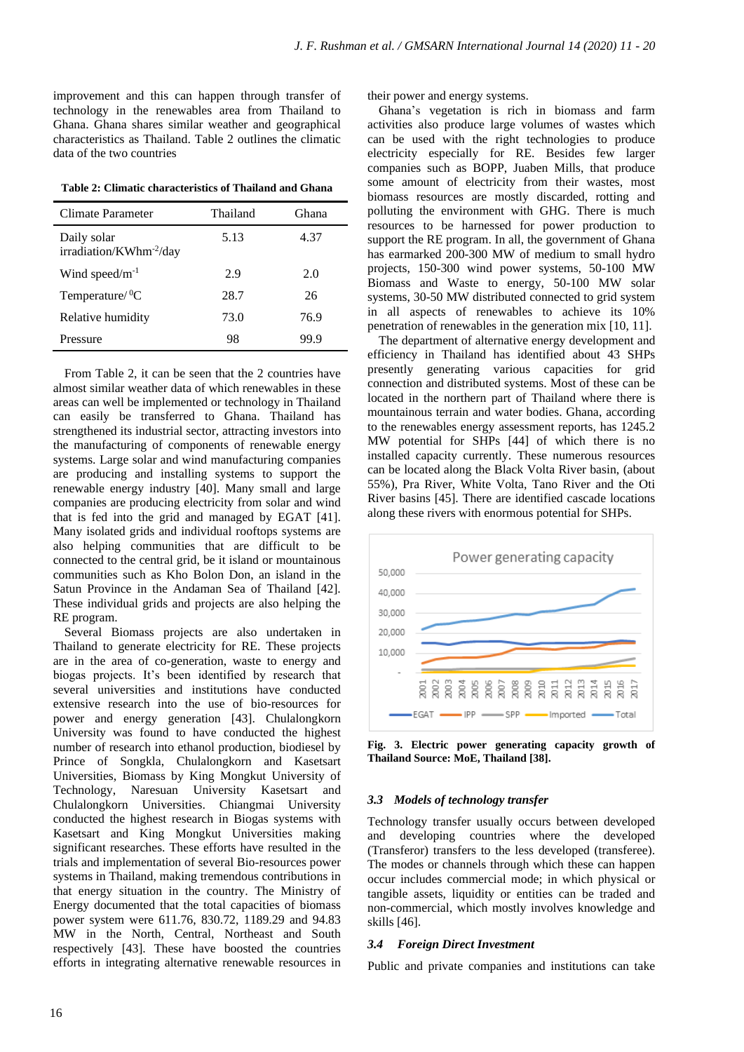improvement and this can happen through transfer of technology in the renewables area from Thailand to Ghana. Ghana shares similar weather and geographical characteristics as Thailand. Table 2 outlines the climatic data of the two countries

**Table 2: Climatic characteristics of Thailand and Ghana**

| Climate Parameter                                  | Thailand | Ghana |
|----------------------------------------------------|----------|-------|
| Daily solar<br>irradiation/KWhm <sup>-2</sup> /day | 5.13     | 4.37  |
| Wind speed/ $m^{-1}$                               | 2.9      | 2.0   |
| Temperature/ ${}^{0}C$                             | 28.7     | 26    |
| Relative humidity                                  | 73.0     | 76.9  |
| Pressure                                           | 98       | 99.9  |

From Table 2, it can be seen that the 2 countries have almost similar weather data of which renewables in these areas can well be implemented or technology in Thailand can easily be transferred to Ghana. Thailand has strengthened its industrial sector, attracting investors into the manufacturing of components of renewable energy systems. Large solar and wind manufacturing companies are producing and installing systems to support the renewable energy industry [40]. Many small and large companies are producing electricity from solar and wind that is fed into the grid and managed by EGAT [41]. Many isolated grids and individual rooftops systems are also helping communities that are difficult to be connected to the central grid, be it island or mountainous communities such as Kho Bolon Don, an island in the Satun Province in the Andaman Sea of Thailand [42]. These individual grids and projects are also helping the RE program.

Several Biomass projects are also undertaken in Thailand to generate electricity for RE. These projects are in the area of co-generation, waste to energy and biogas projects. It's been identified by research that several universities and institutions have conducted extensive research into the use of bio-resources for power and energy generation [43]. Chulalongkorn University was found to have conducted the highest number of research into ethanol production, biodiesel by Prince of Songkla, Chulalongkorn and Kasetsart Universities, Biomass by King Mongkut University of Technology, Naresuan University Kasetsart and Chulalongkorn Universities. Chiangmai University conducted the highest research in Biogas systems with Kasetsart and King Mongkut Universities making significant researches. These efforts have resulted in the trials and implementation of several Bio-resources power systems in Thailand, making tremendous contributions in that energy situation in the country. The Ministry of Energy documented that the total capacities of biomass power system were 611.76, 830.72, 1189.29 and 94.83 MW in the North, Central, Northeast and South respectively [43]. These have boosted the countries efforts in integrating alternative renewable resources in

their power and energy systems.

Ghana's vegetation is rich in biomass and farm activities also produce large volumes of wastes which can be used with the right technologies to produce electricity especially for RE. Besides few larger companies such as BOPP, Juaben Mills, that produce some amount of electricity from their wastes, most biomass resources are mostly discarded, rotting and polluting the environment with GHG. There is much resources to be harnessed for power production to support the RE program. In all, the government of Ghana has earmarked 200-300 MW of medium to small hydro projects, 150-300 wind power systems, 50-100 MW Biomass and Waste to energy, 50-100 MW solar systems, 30-50 MW distributed connected to grid system in all aspects of renewables to achieve its 10% penetration of renewables in the generation mix [10, 11].

The department of alternative energy development and efficiency in Thailand has identified about 43 SHPs presently generating various capacities for grid connection and distributed systems. Most of these can be located in the northern part of Thailand where there is mountainous terrain and water bodies. Ghana, according to the renewables energy assessment reports, has 1245.2 MW potential for SHPs [44] of which there is no installed capacity currently. These numerous resources can be located along the Black Volta River basin, (about 55%), Pra River, White Volta, Tano River and the Oti River basins [45]. There are identified cascade locations along these rivers with enormous potential for SHPs.



**Fig. 3. Electric power generating capacity growth of Thailand Source: MoE, Thailand [38].**

# *3.3 Models of technology transfer*

Technology transfer usually occurs between developed and developing countries where the developed (Transferor) transfers to the less developed (transferee). The modes or channels through which these can happen occur includes commercial mode; in which physical or tangible assets, liquidity or entities can be traded and non-commercial, which mostly involves knowledge and skills [46].

#### *3.4 Foreign Direct Investment*

Public and private companies and institutions can take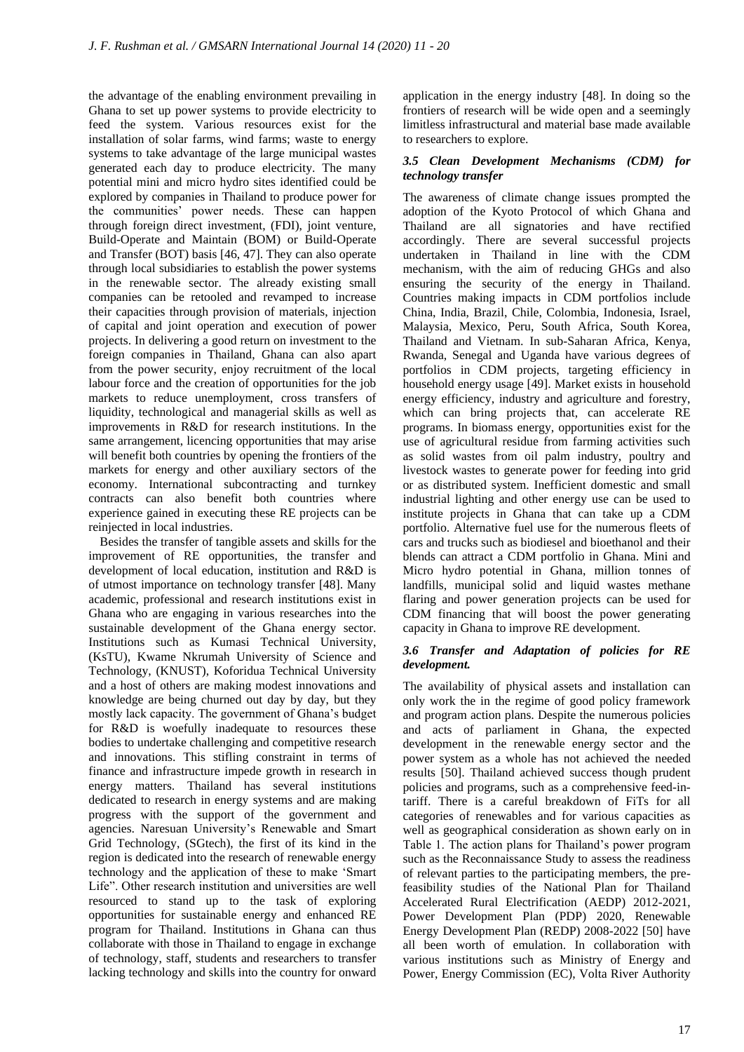the advantage of the enabling environment prevailing in Ghana to set up power systems to provide electricity to feed the system. Various resources exist for the installation of solar farms, wind farms; waste to energy systems to take advantage of the large municipal wastes generated each day to produce electricity. The many potential mini and micro hydro sites identified could be explored by companies in Thailand to produce power for the communities' power needs. These can happen through foreign direct investment, (FDI), joint venture, Build-Operate and Maintain (BOM) or Build-Operate and Transfer (BOT) basis [46, 47]. They can also operate through local subsidiaries to establish the power systems in the renewable sector. The already existing small companies can be retooled and revamped to increase their capacities through provision of materials, injection of capital and joint operation and execution of power projects. In delivering a good return on investment to the foreign companies in Thailand, Ghana can also apart from the power security, enjoy recruitment of the local labour force and the creation of opportunities for the job markets to reduce unemployment, cross transfers of liquidity, technological and managerial skills as well as improvements in R&D for research institutions. In the same arrangement, licencing opportunities that may arise will benefit both countries by opening the frontiers of the markets for energy and other auxiliary sectors of the economy. International subcontracting and turnkey contracts can also benefit both countries where experience gained in executing these RE projects can be reinjected in local industries.

Besides the transfer of tangible assets and skills for the improvement of RE opportunities, the transfer and development of local education, institution and R&D is of utmost importance on technology transfer [48]. Many academic, professional and research institutions exist in Ghana who are engaging in various researches into the sustainable development of the Ghana energy sector. Institutions such as Kumasi Technical University, (KsTU), Kwame Nkrumah University of Science and Technology, (KNUST), Koforidua Technical University and a host of others are making modest innovations and knowledge are being churned out day by day, but they mostly lack capacity. The government of Ghana's budget for R&D is woefully inadequate to resources these bodies to undertake challenging and competitive research and innovations. This stifling constraint in terms of finance and infrastructure impede growth in research in energy matters. Thailand has several institutions dedicated to research in energy systems and are making progress with the support of the government and agencies. Naresuan University's Renewable and Smart Grid Technology, (SGtech), the first of its kind in the region is dedicated into the research of renewable energy technology and the application of these to make 'Smart Life". Other research institution and universities are well resourced to stand up to the task of exploring opportunities for sustainable energy and enhanced RE program for Thailand. Institutions in Ghana can thus collaborate with those in Thailand to engage in exchange of technology, staff, students and researchers to transfer lacking technology and skills into the country for onward

application in the energy industry [48]. In doing so the frontiers of research will be wide open and a seemingly limitless infrastructural and material base made available to researchers to explore.

# *3.5 Clean Development Mechanisms (CDM) for technology transfer*

The awareness of climate change issues prompted the adoption of the Kyoto Protocol of which Ghana and Thailand are all signatories and have rectified accordingly. There are several successful projects undertaken in Thailand in line with the CDM mechanism, with the aim of reducing GHGs and also ensuring the security of the energy in Thailand. Countries making impacts in CDM portfolios include China, India, Brazil, Chile, Colombia, Indonesia, Israel, Malaysia, Mexico, Peru, South Africa, South Korea, Thailand and Vietnam. In sub-Saharan Africa, Kenya, Rwanda, Senegal and Uganda have various degrees of portfolios in CDM projects, targeting efficiency in household energy usage [49]. Market exists in household energy efficiency, industry and agriculture and forestry, which can bring projects that, can accelerate RE programs. In biomass energy, opportunities exist for the use of agricultural residue from farming activities such as solid wastes from oil palm industry, poultry and livestock wastes to generate power for feeding into grid or as distributed system. Inefficient domestic and small industrial lighting and other energy use can be used to institute projects in Ghana that can take up a CDM portfolio. Alternative fuel use for the numerous fleets of cars and trucks such as biodiesel and bioethanol and their blends can attract a CDM portfolio in Ghana. Mini and Micro hydro potential in Ghana, million tonnes of landfills, municipal solid and liquid wastes methane flaring and power generation projects can be used for CDM financing that will boost the power generating capacity in Ghana to improve RE development.

## *3.6 Transfer and Adaptation of policies for RE development.*

The availability of physical assets and installation can only work the in the regime of good policy framework and program action plans. Despite the numerous policies and acts of parliament in Ghana, the expected development in the renewable energy sector and the power system as a whole has not achieved the needed results [50]. Thailand achieved success though prudent policies and programs, such as a comprehensive feed-intariff. There is a careful breakdown of FiTs for all categories of renewables and for various capacities as well as geographical consideration as shown early on in Table 1. The action plans for Thailand's power program such as the Reconnaissance Study to assess the readiness of relevant parties to the participating members, the prefeasibility studies of the National Plan for Thailand Accelerated Rural Electrification (AEDP) 2012-2021, Power Development Plan (PDP) 2020, Renewable Energy Development Plan (REDP) 2008-2022 [50] have all been worth of emulation. In collaboration with various institutions such as Ministry of Energy and Power, Energy Commission (EC), Volta River Authority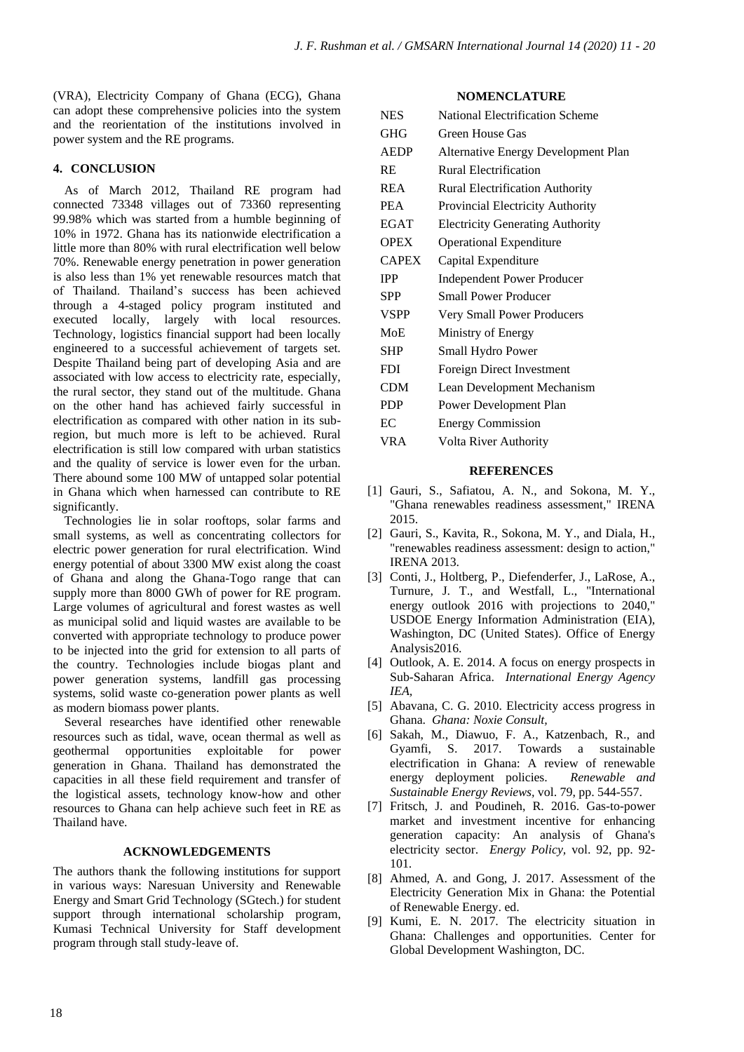(VRA), Electricity Company of Ghana (ECG), Ghana can adopt these comprehensive policies into the system and the reorientation of the institutions involved in power system and the RE programs.

# **4. CONCLUSION**

As of March 2012, Thailand RE program had connected 73348 villages out of 73360 representing 99.98% which was started from a humble beginning of 10% in 1972. Ghana has its nationwide electrification a little more than 80% with rural electrification well below 70%. Renewable energy penetration in power generation is also less than 1% yet renewable resources match that of Thailand. Thailand's success has been achieved through a 4-staged policy program instituted and executed locally, largely with local resources. Technology, logistics financial support had been locally engineered to a successful achievement of targets set. Despite Thailand being part of developing Asia and are associated with low access to electricity rate, especially, the rural sector, they stand out of the multitude. Ghana on the other hand has achieved fairly successful in electrification as compared with other nation in its subregion, but much more is left to be achieved. Rural electrification is still low compared with urban statistics and the quality of service is lower even for the urban. There abound some 100 MW of untapped solar potential in Ghana which when harnessed can contribute to RE significantly.

Technologies lie in solar rooftops, solar farms and small systems, as well as concentrating collectors for electric power generation for rural electrification. Wind energy potential of about 3300 MW exist along the coast of Ghana and along the Ghana-Togo range that can supply more than 8000 GWh of power for RE program. Large volumes of agricultural and forest wastes as well as municipal solid and liquid wastes are available to be converted with appropriate technology to produce power to be injected into the grid for extension to all parts of the country. Technologies include biogas plant and power generation systems, landfill gas processing systems, solid waste co-generation power plants as well as modern biomass power plants.

Several researches have identified other renewable resources such as tidal, wave, ocean thermal as well as geothermal opportunities exploitable for power generation in Ghana. Thailand has demonstrated the capacities in all these field requirement and transfer of the logistical assets, technology know-how and other resources to Ghana can help achieve such feet in RE as Thailand have.

#### **ACKNOWLEDGEMENTS**

The authors thank the following institutions for support in various ways: Naresuan University and Renewable Energy and Smart Grid Technology (SGtech.) for student support through international scholarship program, Kumasi Technical University for Staff development program through stall study-leave of.

#### **NOMENCLATURE**

| <b>NES</b>   | National Electrification Scheme            |
|--------------|--------------------------------------------|
| <b>GHG</b>   | Green House Gas                            |
| <b>AEDP</b>  | <b>Alternative Energy Development Plan</b> |
| <b>RE</b>    | Rural Electrification                      |
| <b>REA</b>   | Rural Electrification Authority            |
| <b>PEA</b>   | <b>Provincial Electricity Authority</b>    |
| <b>EGAT</b>  | <b>Electricity Generating Authority</b>    |
| <b>OPEX</b>  | <b>Operational Expenditure</b>             |
| <b>CAPEX</b> | Capital Expenditure                        |
| <b>IPP</b>   | <b>Independent Power Producer</b>          |
| <b>SPP</b>   | <b>Small Power Producer</b>                |
| <b>VSPP</b>  | Very Small Power Producers                 |
| MoE          | Ministry of Energy                         |
| <b>SHP</b>   | Small Hydro Power                          |
| <b>FDI</b>   | Foreign Direct Investment                  |
| <b>CDM</b>   | Lean Development Mechanism                 |
| <b>PDP</b>   | Power Development Plan                     |
| EC           | <b>Energy Commission</b>                   |
| <b>VRA</b>   | Volta River Authority                      |
|              |                                            |

#### **REFERENCES**

- [1] Gauri, S., Safiatou, A. N., and Sokona, M. Y., "Ghana renewables readiness assessment," IRENA 2015.
- [2] Gauri, S., Kavita, R., Sokona, M. Y., and Diala, H., "renewables readiness assessment: design to action," IRENA 2013.
- [3] Conti, J., Holtberg, P., Diefenderfer, J., LaRose, A., Turnure, J. T., and Westfall, L., "International energy outlook 2016 with projections to 2040," USDOE Energy Information Administration (EIA), Washington, DC (United States). Office of Energy Analysis2016.
- [4] Outlook, A. E. 2014. A focus on energy prospects in Sub-Saharan Africa. *International Energy Agency IEA,*
- [5] Abavana, C. G. 2010. Electricity access progress in Ghana. *Ghana: Noxie Consult,*
- [6] Sakah, M., Diawuo, F. A., Katzenbach, R., and Gyamfi, S. 2017. Towards a sustainable electrification in Ghana: A review of renewable energy deployment policies. *Renewable and Sustainable Energy Reviews,* vol. 79, pp. 544-557.
- [7] Fritsch, J. and Poudineh, R. 2016. Gas-to-power market and investment incentive for enhancing generation capacity: An analysis of Ghana's electricity sector. *Energy Policy,* vol. 92, pp. 92- 101.
- [8] Ahmed, A. and Gong, J. 2017. Assessment of the Electricity Generation Mix in Ghana: the Potential of Renewable Energy. ed.
- [9] Kumi, E. N. 2017. The electricity situation in Ghana: Challenges and opportunities. Center for Global Development Washington, DC.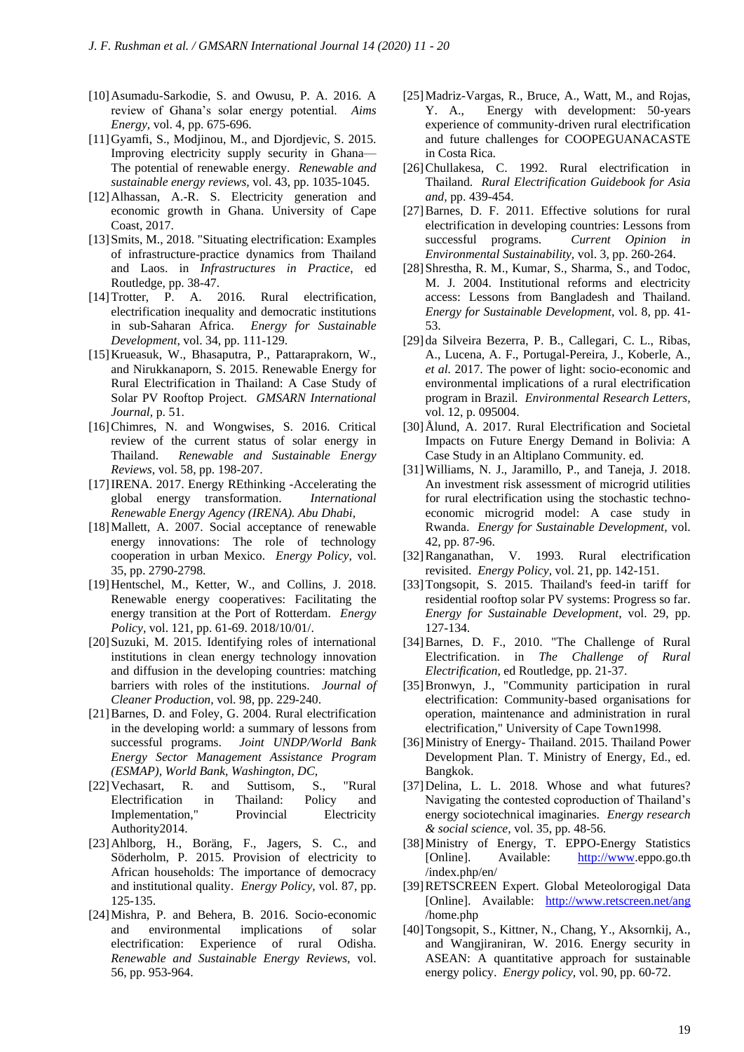- [10]Asumadu-Sarkodie, S. and Owusu, P. A. 2016. A review of Ghana's solar energy potential. *Aims Energy,* vol. 4, pp. 675-696.
- [11]Gyamfi, S., Modjinou, M., and Djordjevic, S. 2015. Improving electricity supply security in Ghana— The potential of renewable energy. *Renewable and sustainable energy reviews,* vol. 43, pp. 1035-1045.
- [12]Alhassan, A.-R. S. Electricity generation and economic growth in Ghana. University of Cape Coast, 2017.
- [13] Smits, M., 2018. "Situating electrification: Examples of infrastructure-practice dynamics from Thailand and Laos. in *Infrastructures in Practice*, ed Routledge, pp. 38-47.
- [14] Trotter, P. A. 2016. Rural electrification, electrification inequality and democratic institutions in sub-Saharan Africa. *Energy for Sustainable Development,* vol. 34, pp. 111-129.
- [15]Krueasuk, W., Bhasaputra, P., Pattaraprakorn, W., and Nirukkanaporn, S. 2015. Renewable Energy for Rural Electrification in Thailand: A Case Study of Solar PV Rooftop Project. *GMSARN International Journal,* p. 51.
- [16]Chimres, N. and Wongwises, S. 2016. Critical review of the current status of solar energy in Thailand. *Renewable and Sustainable Energy Reviews,* vol. 58, pp. 198-207.
- [17]IRENA. 2017. Energy REthinking -Accelerating the global energy transformation. *International Renewable Energy Agency (IRENA). Abu Dhabi,*
- [18] Mallett, A. 2007. Social acceptance of renewable energy innovations: The role of technology cooperation in urban Mexico. *Energy Policy,* vol. 35, pp. 2790-2798.
- [19]Hentschel, M., Ketter, W., and Collins, J. 2018. Renewable energy cooperatives: Facilitating the energy transition at the Port of Rotterdam. *Energy Policy,* vol. 121, pp. 61-69. 2018/10/01/.
- [20]Suzuki, M. 2015. Identifying roles of international institutions in clean energy technology innovation and diffusion in the developing countries: matching barriers with roles of the institutions. *Journal of Cleaner Production,* vol. 98, pp. 229-240.
- [21]Barnes, D. and Foley, G. 2004. Rural electrification in the developing world: a summary of lessons from successful programs. *Joint UNDP/World Bank Energy Sector Management Assistance Program (ESMAP), World Bank, Washington, DC,*
- [22]Vechasart, R. and Suttisom, S., "Rural Electrification in Thailand: Policy and Implementation," Provincial Electricity Authority2014.
- [23]Ahlborg, H., Boräng, F., Jagers, S. C., and Söderholm, P. 2015. Provision of electricity to African households: The importance of democracy and institutional quality. *Energy Policy,* vol. 87, pp. 125-135.
- [24]Mishra, P. and Behera, B. 2016. Socio-economic and environmental implications of solar electrification: Experience of rural Odisha. *Renewable and Sustainable Energy Reviews,* vol. 56, pp. 953-964.
- [25]Madriz-Vargas, R., Bruce, A., Watt, M., and Rojas, Y. A., Energy with development: 50-years experience of community-driven rural electrification and future challenges for COOPEGUANACASTE in Costa Rica.
- [26]Chullakesa, C. 1992. Rural electrification in Thailand. *Rural Electrification Guidebook for Asia and,* pp. 439-454.
- [27]Barnes, D. F. 2011. Effective solutions for rural electrification in developing countries: Lessons from successful programs. *Current Opinion in Environmental Sustainability,* vol. 3, pp. 260-264.
- [28]Shrestha, R. M., Kumar, S., Sharma, S., and Todoc, M. J. 2004. Institutional reforms and electricity access: Lessons from Bangladesh and Thailand. *Energy for Sustainable Development,* vol. 8, pp. 41- 53.
- [29] da Silveira Bezerra, P. B., Callegari, C. L., Ribas, A., Lucena, A. F., Portugal-Pereira, J., Koberle, A.*, et al.* 2017. The power of light: socio-economic and environmental implications of a rural electrification program in Brazil. *Environmental Research Letters,*  vol. 12, p. 095004.
- [30]Ålund, A. 2017. Rural Electrification and Societal Impacts on Future Energy Demand in Bolivia: A Case Study in an Altiplano Community. ed.
- [31]Williams, N. J., Jaramillo, P., and Taneja, J. 2018. An investment risk assessment of microgrid utilities for rural electrification using the stochastic technoeconomic microgrid model: A case study in Rwanda. *Energy for Sustainable Development,* vol. 42, pp. 87-96.
- [32]Ranganathan, V. 1993. Rural electrification revisited. *Energy Policy,* vol. 21, pp. 142-151.
- [33] Tongsopit, S. 2015. Thailand's feed-in tariff for residential rooftop solar PV systems: Progress so far. *Energy for Sustainable Development,* vol. 29, pp. 127-134.
- [34]Barnes, D. F., 2010. "The Challenge of Rural Electrification. in *The Challenge of Rural Electrification*, ed Routledge, pp. 21-37.
- [35]Bronwyn, J., "Community participation in rural electrification: Community-based organisations for operation, maintenance and administration in rural electrification," University of Cape Town1998.
- [36]Ministry of Energy- Thailand. 2015. Thailand Power Development Plan. T. Ministry of Energy, Ed., ed. Bangkok.
- [37]Delina, L. L. 2018. Whose and what futures? Navigating the contested coproduction of Thailand's energy sociotechnical imaginaries. *Energy research & social science,* vol. 35, pp. 48-56.
- [38]Ministry of Energy, T. EPPO-Energy Statistics [Online]. Available: [http://www.](http://www/)eppo.go.th /index.php/en/
- [39]RETSCREEN Expert. Global Meteolorogigal Data [Online]. Available: <http://www.retscreen.net/ang> /home.php
- [40]Tongsopit, S., Kittner, N., Chang, Y., Aksornkij, A., and Wangjiraniran, W. 2016. Energy security in ASEAN: A quantitative approach for sustainable energy policy. *Energy policy,* vol. 90, pp. 60-72.